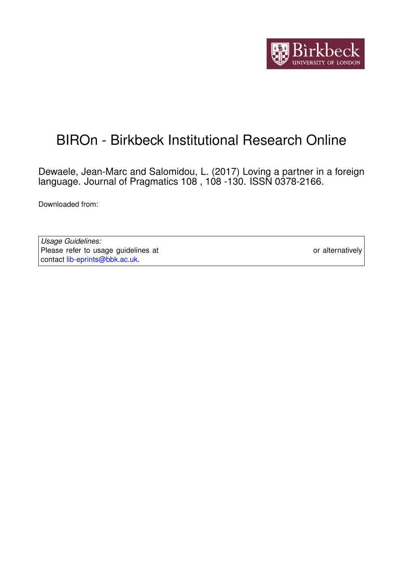

# BIROn - Birkbeck Institutional Research Online

Dewaele, Jean-Marc and Salomidou, L. (2017) Loving a partner in a foreign language. Journal of Pragmatics 108 , 108 -130. ISSN 0378-2166.

Downloaded from: <https://eprints.bbk.ac.uk/id/eprint/17975/>

*Usage Guidelines:* Please refer to usage guidelines at <https://eprints.bbk.ac.uk/policies.html> or alternatively contact [lib-eprints@bbk.ac.uk.](mailto:lib-eprints@bbk.ac.uk)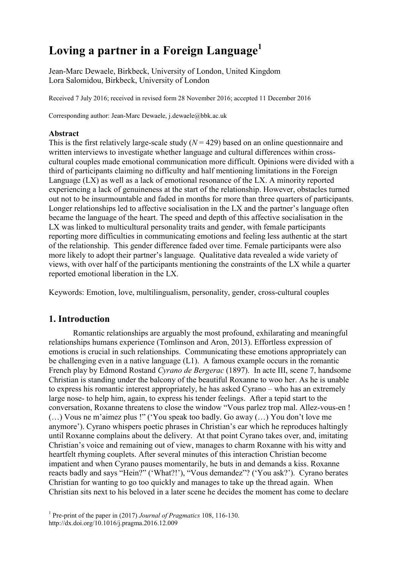## **Loving a partner in a Foreign Language<sup>1</sup>**

Jean-Marc Dewaele, Birkbeck, University of London, United Kingdom Lora Salomidou, Birkbeck, University of London

Received 7 July 2016; received in revised form 28 November 2016; accepted 11 December 2016

Corresponding author: Jean-Marc Dewaele, j.dewaele@bbk.ac.uk

## **Abstract**

This is the first relatively large-scale study  $(N = 429)$  based on an online questionnaire and written interviews to investigate whether language and cultural differences within crosscultural couples made emotional communication more difficult. Opinions were divided with a third of participants claiming no difficulty and half mentioning limitations in the Foreign Language (LX) as well as a lack of emotional resonance of the LX. A minority reported experiencing a lack of genuineness at the start of the relationship. However, obstacles turned out not to be insurmountable and faded in months for more than three quarters of participants. Longer relationships led to affective socialisation in the LX and the partner's language often became the language of the heart. The speed and depth of this affective socialisation in the LX was linked to multicultural personality traits and gender, with female participants reporting more difficulties in communicating emotions and feeling less authentic at the start of the relationship. This gender difference faded over time. Female participants were also more likely to adopt their partner's language. Qualitative data revealed a wide variety of views, with over half of the participants mentioning the constraints of the LX while a quarter reported emotional liberation in the LX.

Keywords: Emotion, love, multilingualism, personality, gender, cross-cultural couples

## **1. Introduction**

Romantic relationships are arguably the most profound, exhilarating and meaningful relationships humans experience (Tomlinson and Aron, 2013). Effortless expression of emotions is crucial in such relationships. Communicating these emotions appropriately can be challenging even in a native language (L1). A famous example occurs in the romantic French play by Edmond Rostand *Cyrano de Bergerac* (1897). In acte III, scene 7, handsome Christian is standing under the balcony of the beautiful Roxanne to woo her. As he is unable to express his romantic interest appropriately, he has asked Cyrano – who has an extremely large nose- to help him, again, to express his tender feelings. After a tepid start to the conversation, Roxanne threatens to close the window "Vous parlez trop mal. Allez-vous-en ! (…) Vous ne m'aimez plus !" ('You speak too badly. Go away (…) You don't love me anymore'). Cyrano whispers poetic phrases in Christian's ear which he reproduces haltingly until Roxanne complains about the delivery. At that point Cyrano takes over, and, imitating Christian's voice and remaining out of view, manages to charm Roxanne with his witty and heartfelt rhyming couplets. After several minutes of this interaction Christian become impatient and when Cyrano pauses momentarily, he buts in and demands a kiss. Roxanne reacts badly and says "Hein?" ('What?!'), "Vous demandez"? ('You ask?'). Cyrano berates Christian for wanting to go too quickly and manages to take up the thread again. When Christian sits next to his beloved in a later scene he decides the moment has come to declare

<sup>1</sup> Pre-print of the paper in (2017) *Journal of Pragmatics* 108, 116-130. http://dx.doi.org/10.1016/j.pragma.2016.12.009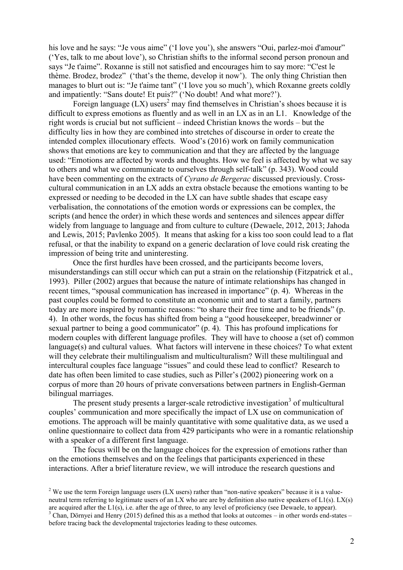his love and he says: "Je vous aime" ('I love you'), she answers "Oui, parlez-moi d'amour" ('Yes, talk to me about love'), so Christian shifts to the informal second person pronoun and says "Je t'aime". Roxanne is still not satisfied and encourages him to say more: "C'est le thème. Brodez, brodez" ('that's the theme, develop it now'). The only thing Christian then manages to blurt out is: "Je t'aime tant" ('I love you so much'), which Roxanne greets coldly and impatiently: "Sans doute! Et puis?" ('No doubt! And what more?').

Foreign language  $(LX)$  users<sup>2</sup> may find themselves in Christian's shoes because it is difficult to express emotions as fluently and as well in an LX as in an L1. Knowledge of the right words is crucial but not sufficient – indeed Christian knows the words – but the difficulty lies in how they are combined into stretches of discourse in order to create the intended complex illocutionary effects. Wood's (2016) work on family communication shows that emotions are key to communication and that they are affected by the language used: "Emotions are affected by words and thoughts. How we feel is affected by what we say to others and what we communicate to ourselves through self-talk" (p. 343). Wood could have been commenting on the extracts of *Cyrano de Bergerac* discussed previously. Crosscultural communication in an LX adds an extra obstacle because the emotions wanting to be expressed or needing to be decoded in the LX can have subtle shades that escape easy verbalisation, the connotations of the emotion words or expressions can be complex, the scripts (and hence the order) in which these words and sentences and silences appear differ widely from language to language and from culture to culture (Dewaele, 2012, 2013; Jahoda and Lewis, 2015; Pavlenko 2005). It means that asking for a kiss too soon could lead to a flat refusal, or that the inability to expand on a generic declaration of love could risk creating the impression of being trite and uninteresting.

Once the first hurdles have been crossed, and the participants become lovers, misunderstandings can still occur which can put a strain on the relationship (Fitzpatrick et al., 1993). Piller (2002) argues that because the nature of intimate relationships has changed in recent times, "spousal communication has increased in importance" (p. 4). Whereas in the past couples could be formed to constitute an economic unit and to start a family, partners today are more inspired by romantic reasons: "to share their free time and to be friends" (p. 4). In other words, the focus has shifted from being a "good housekeeper, breadwinner or sexual partner to being a good communicator" (p. 4). This has profound implications for modern couples with different language profiles. They will have to choose a (set of) common language(s) and cultural values. What factors will intervene in these choices? To what extent will they celebrate their multilingualism and multiculturalism? Will these multilingual and intercultural couples face language "issues" and could these lead to conflict? Research to date has often been limited to case studies, such as Piller's (2002) pioneering work on a corpus of more than 20 hours of private conversations between partners in English-German bilingual marriages.

The present study presents a larger-scale retrodictive investigation<sup>3</sup> of multicultural couples' communication and more specifically the impact of LX use on communication of emotions. The approach will be mainly quantitative with some qualitative data, as we used a online questionnaire to collect data from 429 participants who were in a romantic relationship with a speaker of a different first language.

The focus will be on the language choices for the expression of emotions rather than on the emotions themselves and on the feelings that participants experienced in these interactions. After a brief literature review, we will introduce the research questions and

<sup>&</sup>lt;sup>2</sup> We use the term Foreign language users (LX users) rather than "non-native speakers" because it is a valueneutral term referring to legitimate users of an LX who are are by definition also native speakers of L1(s). LX(s) are acquired after the L1(s), i.e. after the age of three, to any level of proficiency (see Dewaele, to appear).  $3$  Chan, Dörnyei and Henry (2015) defined this as a method that looks at outcomes – in other words end-states – before tracing back the developmental trajectories leading to these outcomes.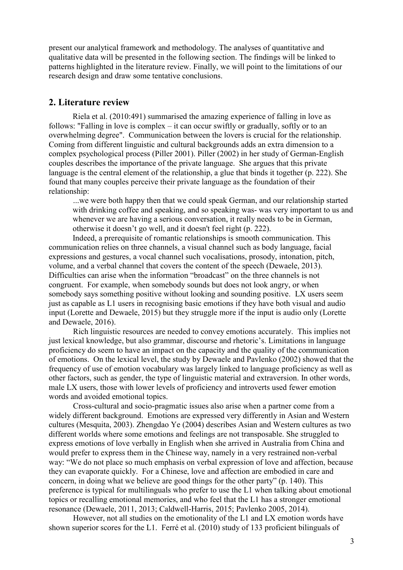present our analytical framework and methodology. The analyses of quantitative and qualitative data will be presented in the following section. The findings will be linked to patterns highlighted in the literature review. Finally, we will point to the limitations of our research design and draw some tentative conclusions.

## **2. Literature review**

Riela et al. (2010:491) summarised the amazing experience of falling in love as follows: "Falling in love is complex – it can occur swiftly or gradually, softly or to an overwhelming degree". Communication between the lovers is crucial for the relationship. Coming from different linguistic and cultural backgrounds adds an extra dimension to a complex psychological process (Piller 2001). Piller (2002) in her study of German-English couples describes the importance of the private language. She argues that this private language is the central element of the relationship, a glue that binds it together (p. 222). She found that many couples perceive their private language as the foundation of their relationship:

...we were both happy then that we could speak German, and our relationship started with drinking coffee and speaking, and so speaking was- was very important to us and whenever we are having a serious conversation, it really needs to be in German, otherwise it doesn't go well, and it doesn't feel right (p. 222).

Indeed, a prerequisite of romantic relationships is smooth communication. This communication relies on three channels, a visual channel such as body language, facial expressions and gestures, a vocal channel such vocalisations, prosody, intonation, pitch, volume, and a verbal channel that covers the content of the speech (Dewaele, 2013). Difficulties can arise when the information "broadcast" on the three channels is not congruent. For example, when somebody sounds but does not look angry, or when somebody says something positive without looking and sounding positive. LX users seem just as capable as L1 users in recognising basic emotions if they have both visual and audio input (Lorette and Dewaele, 2015) but they struggle more if the input is audio only (Lorette and Dewaele, 2016).

Rich linguistic resources are needed to convey emotions accurately. This implies not just lexical knowledge, but also grammar, discourse and rhetoric's. Limitations in language proficiency do seem to have an impact on the capacity and the quality of the communication of emotions. On the lexical level, the study by Dewaele and Pavlenko (2002) showed that the frequency of use of emotion vocabulary was largely linked to language proficiency as well as other factors, such as gender, the type of linguistic material and extraversion. In other words, male LX users, those with lower levels of proficiency and introverts used fewer emotion words and avoided emotional topics.

Cross-cultural and socio-pragmatic issues also arise when a partner come from a widely different background. Emotions are expressed very differently in Asian and Western cultures (Mesquita, 2003). Zhengdao Ye (2004) describes Asian and Western cultures as two different worlds where some emotions and feelings are not transposable. She struggled to express emotions of love verbally in English when she arrived in Australia from China and would prefer to express them in the Chinese way, namely in a very restrained non-verbal way: "We do not place so much emphasis on verbal expression of love and affection, because they can evaporate quickly. For a Chinese, love and affection are embodied in care and concern, in doing what we believe are good things for the other party" (p. 140). This preference is typical for multilinguals who prefer to use the L1 when talking about emotional topics or recalling emotional memories, and who feel that the L1 has a stronger emotional resonance (Dewaele, 2011, 2013; Caldwell-Harris, 2015; Pavlenko 2005, 2014).

However, not all studies on the emotionality of the L1 and LX emotion words have shown superior scores for the L1. Ferré et al. (2010) study of 133 proficient bilinguals of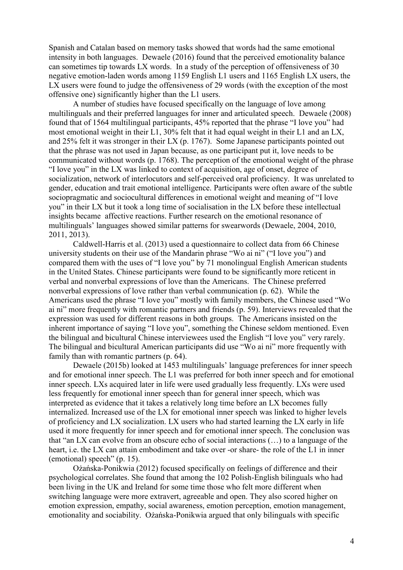Spanish and Catalan based on memory tasks showed that words had the same emotional intensity in both languages. Dewaele (2016) found that the perceived emotionality balance can sometimes tip towards LX words. In a study of the perception of offensiveness of 30 negative emotion-laden words among 1159 English L1 users and 1165 English LX users, the LX users were found to judge the offensiveness of 29 words (with the exception of the most offensive one) significantly higher than the L1 users.

A number of studies have focused specifically on the language of love among multilinguals and their preferred languages for inner and articulated speech. Dewaele (2008) found that of 1564 multilingual participants, 45% reported that the phrase "I love you" had most emotional weight in their L1, 30% felt that it had equal weight in their L1 and an LX, and 25% felt it was stronger in their LX (p. 1767). Some Japanese participants pointed out that the phrase was not used in Japan because, as one participant put it, love needs to be communicated without words (p. 1768). The perception of the emotional weight of the phrase "I love you" in the LX was linked to context of acquisition, age of onset, degree of socialization, network of interlocutors and self-perceived oral proficiency. It was unrelated to gender, education and trait emotional intelligence. Participants were often aware of the subtle sociopragmatic and sociocultural differences in emotional weight and meaning of "I love you" in their LX but it took a long time of socialisation in the LX before these intellectual insights became affective reactions. Further research on the emotional resonance of multilinguals' languages showed similar patterns for swearwords (Dewaele, 2004, 2010, 2011, 2013).

Caldwell-Harris et al. (2013) used a questionnaire to collect data from 66 Chinese university students on their use of the Mandarin phrase "Wo ai ni" ("I love you") and compared them with the uses of "I love you" by 71 monolingual English American students in the United States. Chinese participants were found to be significantly more reticent in verbal and nonverbal expressions of love than the Americans. The Chinese preferred nonverbal expressions of love rather than verbal communication (p. 62). While the Americans used the phrase "I love you" mostly with family members, the Chinese used "Wo ai ni" more frequently with romantic partners and friends (p. 59). Interviews revealed that the expression was used for different reasons in both groups. The Americans insisted on the inherent importance of saying "I love you", something the Chinese seldom mentioned. Even the bilingual and bicultural Chinese interviewees used the English "I love you" very rarely. The bilingual and bicultural American participants did use "Wo ai ni" more frequently with family than with romantic partners (p. 64).

Dewaele (2015b) looked at 1453 multilinguals' language preferences for inner speech and for emotional inner speech. The L1 was preferred for both inner speech and for emotional inner speech. LXs acquired later in life were used gradually less frequently. LXs were used less frequently for emotional inner speech than for general inner speech, which was interpreted as evidence that it takes a relatively long time before an LX becomes fully internalized. Increased use of the LX for emotional inner speech was linked to higher levels of proficiency and LX socialization. LX users who had started learning the LX early in life used it more frequently for inner speech and for emotional inner speech. The conclusion was that "an LX can evolve from an obscure echo of social interactions (…) to a language of the heart, i.e. the LX can attain embodiment and take over -or share- the role of the L1 in inner (emotional) speech" (p. 15).

Ożańska-Ponikwia (2012) focused specifically on feelings of difference and their psychological correlates. She found that among the 102 Polish-English bilinguals who had been living in the UK and Ireland for some time those who felt more different when switching language were more extravert, agreeable and open. They also scored higher on emotion expression, empathy, social awareness, emotion perception, emotion management, emotionality and sociability. Ożańska-Ponikwia argued that only bilinguals with specific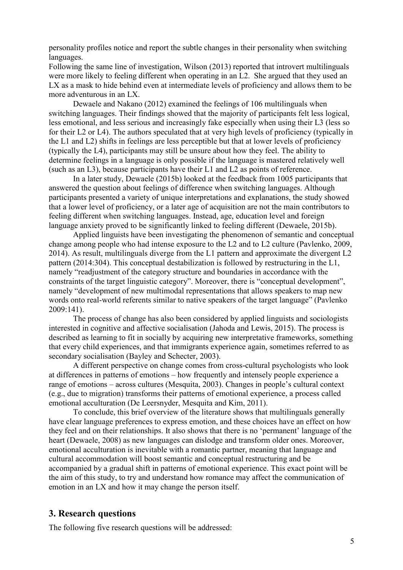personality profiles notice and report the subtle changes in their personality when switching languages.

Following the same line of investigation, Wilson (2013) reported that introvert multilinguals were more likely to feeling different when operating in an L2. She argued that they used an LX as a mask to hide behind even at intermediate levels of proficiency and allows them to be more adventurous in an LX.

Dewaele and Nakano (2012) examined the feelings of 106 multilinguals when switching languages. Their findings showed that the majority of participants felt less logical, less emotional, and less serious and increasingly fake especially when using their L3 (less so for their L2 or L4). The authors speculated that at very high levels of proficiency (typically in the L1 and L2) shifts in feelings are less perceptible but that at lower levels of proficiency (typically the L4), participants may still be unsure about how they feel. The ability to determine feelings in a language is only possible if the language is mastered relatively well (such as an L3), because participants have their L1 and L2 as points of reference.

In a later study, Dewaele (2015b) looked at the feedback from 1005 participants that answered the question about feelings of difference when switching languages. Although participants presented a variety of unique interpretations and explanations, the study showed that a lower level of proficiency, or a later age of acquisition are not the main contributors to feeling different when switching languages. Instead, age, education level and foreign language anxiety proved to be significantly linked to feeling different (Dewaele, 2015b).

Applied linguists have been investigating the phenomenon of semantic and conceptual change among people who had intense exposure to the L2 and to L2 culture (Pavlenko, 2009, 2014). As result, multilinguals diverge from the L1 pattern and approximate the divergent L2 pattern (2014:304). This conceptual destabilization is followed by restructuring in the L1, namely "readjustment of the category structure and boundaries in accordance with the constraints of the target linguistic category". Moreover, there is "conceptual development", namely "development of new multimodal representations that allows speakers to map new words onto real-world referents similar to native speakers of the target language" (Pavlenko 2009:141).

The process of change has also been considered by applied linguists and sociologists interested in cognitive and affective socialisation (Jahoda and Lewis, 2015). The process is described as learning to fit in socially by acquiring new interpretative frameworks, something that every child experiences, and that immigrants experience again, sometimes referred to as secondary socialisation (Bayley and Schecter, 2003).

A different perspective on change comes from cross-cultural psychologists who look at differences in patterns of emotions – how frequently and intensely people experience a range of emotions – across cultures (Mesquita, 2003). Changes in people's cultural context (e.g., due to migration) transforms their patterns of emotional experience, a process called emotional acculturation (De Leersnyder, Mesquita and Kim, 2011).

To conclude, this brief overview of the literature shows that multilinguals generally have clear language preferences to express emotion, and these choices have an effect on how they feel and on their relationships. It also shows that there is no 'permanent' language of the heart (Dewaele, 2008) as new languages can dislodge and transform older ones. Moreover, emotional acculturation is inevitable with a romantic partner, meaning that language and cultural accommodation will boost semantic and conceptual restructuring and be accompanied by a gradual shift in patterns of emotional experience. This exact point will be the aim of this study, to try and understand how romance may affect the communication of emotion in an LX and how it may change the person itself.

## **3. Research questions**

The following five research questions will be addressed: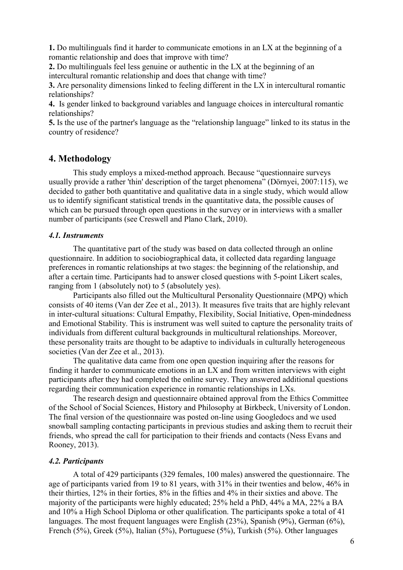**1.** Do multilinguals find it harder to communicate emotions in an LX at the beginning of a romantic relationship and does that improve with time?

**2.** Do multilinguals feel less genuine or authentic in the LX at the beginning of an intercultural romantic relationship and does that change with time?

**3.** Are personality dimensions linked to feeling different in the LX in intercultural romantic relationships?

**4.** Is gender linked to background variables and language choices in intercultural romantic relationships?

**5.** Is the use of the partner's language as the "relationship language" linked to its status in the country of residence?

## **4. Methodology**

This study employs a mixed-method approach. Because "questionnaire surveys usually provide a rather 'thin' description of the target phenomena" (Dörnyei, 2007:115), we decided to gather both quantitative and qualitative data in a single study, which would allow us to identify significant statistical trends in the quantitative data, the possible causes of which can be pursued through open questions in the survey or in interviews with a smaller number of participants (see Creswell and Plano Clark, 2010).

## *4.1. Instruments*

The quantitative part of the study was based on data collected through an online questionnaire. In addition to sociobiographical data, it collected data regarding language preferences in romantic relationships at two stages: the beginning of the relationship, and after a certain time. Participants had to answer closed questions with 5-point Likert scales, ranging from 1 (absolutely not) to 5 (absolutely yes).

Participants also filled out the Multicultural Personality Questionnaire (MPQ) which consists of 40 items (Van der Zee et al., 2013). It measures five traits that are highly relevant in inter-cultural situations: Cultural Empathy, Flexibility, Social Initiative, Open-mindedness and Emotional Stability. This is instrument was well suited to capture the personality traits of individuals from different cultural backgrounds in multicultural relationships. Moreover, these personality traits are thought to be adaptive to individuals in culturally heterogeneous societies (Van der Zee et al., 2013).

The qualitative data came from one open question inquiring after the reasons for finding it harder to communicate emotions in an LX and from written interviews with eight participants after they had completed the online survey. They answered additional questions regarding their communication experience in romantic relationships in LXs.

The research design and questionnaire obtained approval from the Ethics Committee of the School of Social Sciences, History and Philosophy at Birkbeck, University of London. The final version of the questionnaire was posted on-line using Googledocs and we used snowball sampling contacting participants in previous studies and asking them to recruit their friends, who spread the call for participation to their friends and contacts (Ness Evans and Rooney, 2013).

#### *4.2. Participants*

A total of 429 participants (329 females, 100 males) answered the questionnaire. The age of participants varied from 19 to 81 years, with 31% in their twenties and below, 46% in their thirties, 12% in their forties, 8% in the fifties and 4% in their sixties and above. The majority of the participants were highly educated; 25% held a PhD, 44% a MA, 22% a BA and 10% a High School Diploma or other qualification. The participants spoke a total of 41 languages. The most frequent languages were English (23%), Spanish (9%), German (6%), French (5%), Greek (5%), Italian (5%), Portuguese (5%), Turkish (5%). Other languages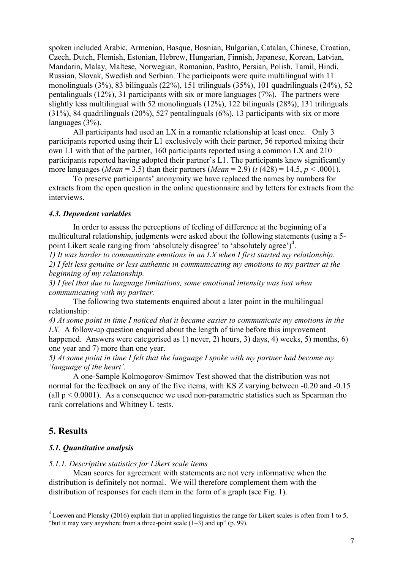spoken included Arabic, Armenian, Basque, Bosnian, Bulgarian, Catalan, Chinese, Croatian, Czech, Dutch, Flemish, Estonian, Hebrew, Hungarian, Finnish, Japanese, Korean, Latvian, Mandarin, Malay, Maltese, Norwegian, Romanian, Pashto, Persian, Polish, Tamil, Hindi, Russian, Slovak, Swedish and Serbian. The participants were quite multilingual with 11 monolinguals (3%), 83 bilinguals (22%), 151 trilinguals (35%), 101 quadrilinguals (24%), 52 pentalinguals (12%), 31 participants with six or more languages (7%). The partners were slightly less multilingual with 52 monolinguals (12%), 122 bilinguals (28%), 131 trilinguals (31%), 84 quadrilinguals (20%), 527 pentalinguals (6%), 13 participants with six or more languages (3%).

All participants had used an LX in a romantic relationship at least once. Only 3 participants reported using their L1 exclusively with their partner, 56 reported mixing their own L1 with that of the partner, 160 participants reported using a common LX and 210 participants reported having adopted their partner's L1. The participants knew significantly more languages (*Mean* = 3.5) than their partners (*Mean* = 2.9) (*t* (428) = 14.5, *p* < .0001).

To preserve participants' anonymity we have replaced the names by numbers for extracts from the open question in the online questionnaire and by letters for extracts from the interviews.

#### *4.3. Dependent variables*

In order to assess the perceptions of feeling of difference at the beginning of a multicultural relationship, judgments were asked about the following statements (using a 5 point Likert scale ranging from 'absolutely disagree' to 'absolutely agree')<sup>4</sup>.

*1) It was harder to communicate emotions in an LX when I first started my relationship. 2) I felt less genuine or less authentic in communicating my emotions to my partner at the beginning of my relationship.*

*3) I feel that due to language limitations, some emotional intensity was lost when communicating with my partner.*

The following two statements enquired about a later point in the multilingual relationship:

*4) At some point in time I noticed that it became easier to communicate my emotions in the LX.* A follow-up question enquired about the length of time before this improvement happened. Answers were categorised as 1) never, 2) hours, 3) days, 4) weeks, 5) months, 6) one year and 7) more than one year.

*5) At some point in time I felt that the language I spoke with my partner had become my 'language of the heart'.*

A one-Sample Kolmogorov-Smirnov Test showed that the distribution was not normal for the feedback on any of the five items, with KS *Z* varying between -0.20 and -0.15 (all  $p < 0.0001$ ). As a consequence we used non-parametric statistics such as Spearman rho rank correlations and Whitney U tests.

## **5. Results**

#### *5.1. Quantitative analysis*

#### *5.1.1. Descriptive statistics for Likert scale items*

Mean scores for agreement with statements are not very informative when the distribution is definitely not normal. We will therefore complement them with the distribution of responses for each item in the form of a graph (see Fig. 1).

<sup>4</sup> Loewen and Plonsky (2016) explain that in applied linguistics the range for Likert scales is often from 1 to 5, "but it may vary anywhere from a three-point scale  $(1-3)$  and up"  $(p. 99)$ .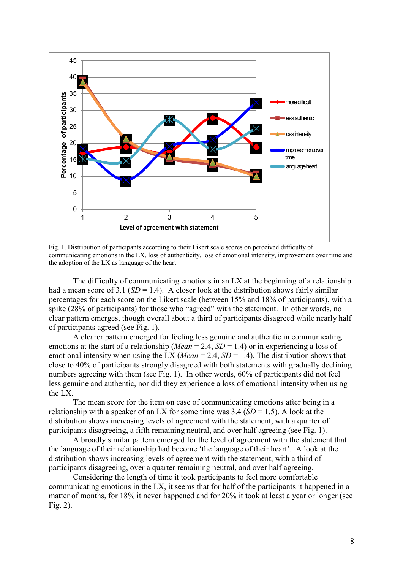

Fig. 1. Distribution of participants according to their Likert scale scores on perceived difficulty of communicating emotions in the LX, loss of authenticity, loss of emotional intensity, improvement over time and the adoption of the LX as language of the heart

The difficulty of communicating emotions in an LX at the beginning of a relationship had a mean score of 3.1 ( $SD = 1.4$ ). A closer look at the distribution shows fairly similar percentages for each score on the Likert scale (between 15% and 18% of participants), with a spike (28% of participants) for those who "agreed" with the statement. In other words, no clear pattern emerges, though overall about a third of participants disagreed while nearly half of participants agreed (see Fig. 1).

A clearer pattern emerged for feeling less genuine and authentic in communicating emotions at the start of a relationship (*Mean* = 2.4,  $SD = 1.4$ ) or in experiencing a loss of emotional intensity when using the LX (*Mean* = 2.4, *SD* = 1.4). The distribution shows that close to 40% of participants strongly disagreed with both statements with gradually declining numbers agreeing with them (see Fig. 1). In other words, 60% of participants did not feel less genuine and authentic, nor did they experience a loss of emotional intensity when using the LX.

The mean score for the item on ease of communicating emotions after being in a relationship with a speaker of an LX for some time was  $3.4$  (*SD* = 1.5). A look at the distribution shows increasing levels of agreement with the statement, with a quarter of participants disagreeing, a fifth remaining neutral, and over half agreeing (see Fig. 1).

A broadly similar pattern emerged for the level of agreement with the statement that the language of their relationship had become 'the language of their heart'. A look at the distribution shows increasing levels of agreement with the statement, with a third of participants disagreeing, over a quarter remaining neutral, and over half agreeing.

Considering the length of time it took participants to feel more comfortable communicating emotions in the LX, it seems that for half of the participants it happened in a matter of months, for 18% it never happened and for 20% it took at least a year or longer (see Fig. 2).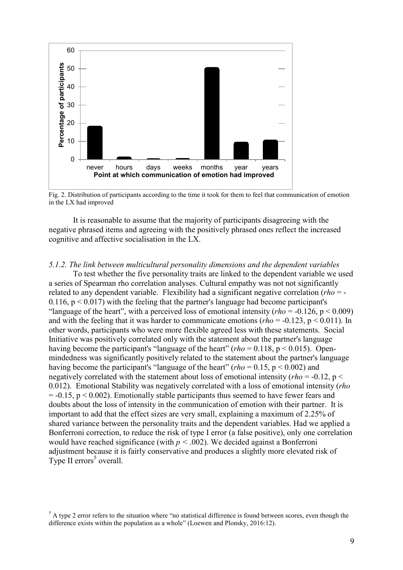

Fig. 2. Distribution of participants according to the time it took for them to feel that communication of emotion in the LX had improved

It is reasonable to assume that the majority of participants disagreeing with the negative phrased items and agreeing with the positively phrased ones reflect the increased cognitive and affective socialisation in the LX.

#### *5.1.2. The link between multicultural personality dimensions and the dependent variables*

To test whether the five personality traits are linked to the dependent variable we used a series of Spearman rho correlation analyses. Cultural empathy was not not significantly related to any dependent variable. Flexibility had a significant negative correlation (*rho* = -  $0.116$ ,  $p < 0.017$ ) with the feeling that the partner's language had become participant's "language of the heart", with a perceived loss of emotional intensity (*rho* = -0.126, p < 0.009) and with the feeling that it was harder to communicate emotions (*rho* = -0.123, p < 0.011). In other words, participants who were more flexible agreed less with these statements. Social Initiative was positively correlated only with the statement about the partner's language having become the participant's "language of the heart" ( $rho = 0.118$ ,  $p < 0.015$ ). Openmindedness was significantly positively related to the statement about the partner's language having become the participant's "language of the heart" (*rho* = 0.15, p < 0.002) and negatively correlated with the statement about loss of emotional intensity (*rho* = -0.12, p < 0.012). Emotional Stability was negatively correlated with a loss of emotional intensity (*rho*  $= -0.15$ ,  $p < 0.002$ ). Emotionally stable participants thus seemed to have fewer fears and doubts about the loss of intensity in the communication of emotion with their partner. It is important to add that the effect sizes are very small, explaining a maximum of 2.25% of shared variance between the personality traits and the dependent variables. Had we applied a Bonferroni correction, to reduce the risk of type I error (a false positive), only one correlation would have reached significance (with  $p < .002$ ). We decided against a Bonferroni adjustment because it is fairly conservative and produces a slightly more elevated risk of Type II errors<sup>5</sup> overall.

 $<sup>5</sup>$  A type 2 error refers to the situation where "no statistical difference is found between scores, even though the</sup> difference exists within the population as a whole" (Loewen and Plonsky, 2016:12).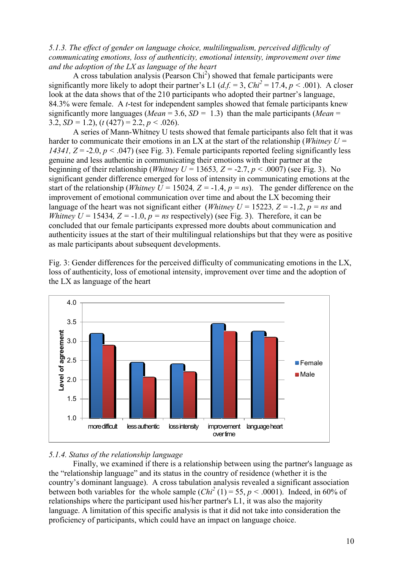*5.1.3. The effect of gender on language choice, multilingualism, perceived difficulty of communicating emotions, loss of authenticity, emotional intensity, improvement over time and the adoption of the LX as language of the heart*

A cross tabulation analysis (Pearson  $\text{Chi}^2$ ) showed that female participants were significantly more likely to adopt their partner's L1 ( $df = 3$ ,  $Chi^2 = 17.4$ ,  $p < .001$ ). A closer look at the data shows that of the 210 participants who adopted their partner's language, 84.3% were female. A *t*-test for independent samples showed that female participants knew significantly more languages (*Mean* = 3.6, *SD =* 1.3) than the male participants (*Mean* = 3.2, *SD =* 1.2), (*t* (427) = 2.2, *p <* .026).

A series of Mann-Whitney U tests showed that female participants also felt that it was harder to communicate their emotions in an LX at the start of the relationship (*Whitney U = 14341, Z* = -2.0, *p <* .047) (see Fig. 3). Female participants reported feeling significantly less genuine and less authentic in communicating their emotions with their partner at the beginning of their relationship (*Whitney U* = 13653, *Z* = -2.7, *p* < .0007) (see Fig. 3). No significant gender difference emerged for loss of intensity in communicating emotions at the start of the relationship (*Whitney U* = 15024,  $Z = -1.4$ ,  $p = ns$ ). The gender difference on the improvement of emotional communication over time and about the  $L\bar{X}$  becoming their language of the heart was not significant either (*Whitney U* = 15223*, Z* = -1.2, *p* = *ns* and *Whitney U* = 15434,  $Z = -1.0$ ,  $p = ns$  respectively) (see Fig. 3). Therefore, it can be concluded that our female participants expressed more doubts about communication and authenticity issues at the start of their multilingual relationships but that they were as positive as male participants about subsequent developments.

Fig. 3: Gender differences for the perceived difficulty of communicating emotions in the LX, loss of authenticity, loss of emotional intensity, improvement over time and the adoption of the LX as language of the heart



#### *5.1.4. Status of the relationship language*

Finally, we examined if there is a relationship between using the partner's language as the "relationship language" and its status in the country of residence (whether it is the country's dominant language). A cross tabulation analysis revealed a significant association between both variables for the whole sample  $(Chi^2(1) = 55, p < .0001)$ . Indeed, in 60% of relationships where the participant used his/her partner's L1, it was also the majority language. A limitation of this specific analysis is that it did not take into consideration the proficiency of participants, which could have an impact on language choice.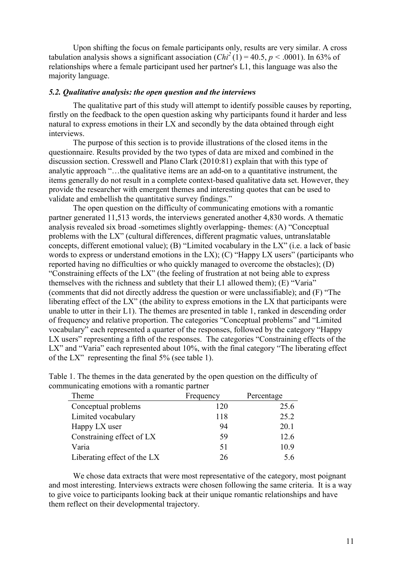Upon shifting the focus on female participants only, results are very similar. A cross tabulation analysis shows a significant association  $(Chi^2(1) = 40.5, p < .0001)$ . In 63% of relationships where a female participant used her partner's L1, this language was also the majority language.

#### *5.2. Qualitative analysis: the open question and the interviews*

The qualitative part of this study will attempt to identify possible causes by reporting, firstly on the feedback to the open question asking why participants found it harder and less natural to express emotions in their LX and secondly by the data obtained through eight interviews.

The purpose of this section is to provide illustrations of the closed items in the questionnaire. Results provided by the two types of data are mixed and combined in the discussion section. Cresswell and Plano Clark (2010:81) explain that with this type of analytic approach "…the qualitative items are an add-on to a quantitative instrument, the items generally do not result in a complete context-based qualitative data set. However, they provide the researcher with emergent themes and interesting quotes that can be used to validate and embellish the quantitative survey findings."

The open question on the difficulty of communicating emotions with a romantic partner generated 11,513 words, the interviews generated another 4,830 words. A thematic analysis revealed six broad -sometimes slightly overlapping- themes: (A) "Conceptual problems with the LX" (cultural differences, different pragmatic values, untranslatable concepts, different emotional value); (B) "Limited vocabulary in the LX" (i.e. a lack of basic words to express or understand emotions in the LX); (C) "Happy LX users" (participants who reported having no difficulties or who quickly managed to overcome the obstacles); (D) "Constraining effects of the LX" (the feeling of frustration at not being able to express themselves with the richness and subtlety that their L1 allowed them); (E) "Varia" (comments that did not directly address the question or were unclassifiable); and (F) "The liberating effect of the LX" (the ability to express emotions in the LX that participants were unable to utter in their L1). The themes are presented in table 1, ranked in descending order of frequency and relative proportion. The categories "Conceptual problems" and "Limited vocabulary" each represented a quarter of the responses, followed by the category "Happy LX users" representing a fifth of the responses. The categories "Constraining effects of the LX" and "Varia" each represented about 10%, with the final category "The liberating effect of the LX" representing the final 5% (see table 1).

| Theme                       | Frequency | Percentage |
|-----------------------------|-----------|------------|
| Conceptual problems         | 120       | 25.6       |
| Limited vocabulary          | 118       | 25.2       |
| Happy LX user               | 94        | 20.1       |
| Constraining effect of LX   | 59        | 12.6       |
| Varia                       | 51        | 10.9       |
| Liberating effect of the LX | 26        | 5.6        |

Table 1. The themes in the data generated by the open question on the difficulty of communicating emotions with a romantic partner

We chose data extracts that were most representative of the category, most poignant and most interesting. Interviews extracts were chosen following the same criteria. It is a way to give voice to participants looking back at their unique romantic relationships and have them reflect on their developmental trajectory.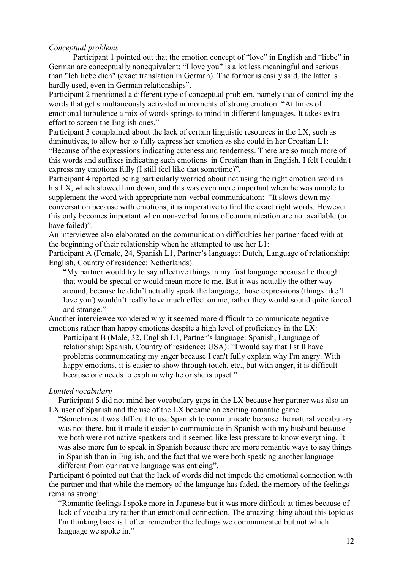## *Conceptual problems*

Participant 1 pointed out that the emotion concept of "love" in English and "liebe" in German are conceptually nonequivalent: "I love you" is a lot less meaningful and serious than "Ich liebe dich" (exact translation in German). The former is easily said, the latter is hardly used, even in German relationships".

Participant 2 mentioned a different type of conceptual problem, namely that of controlling the words that get simultaneously activated in moments of strong emotion: "At times of emotional turbulence a mix of words springs to mind in different languages. It takes extra effort to screen the English ones."

Participant 3 complained about the lack of certain linguistic resources in the LX, such as diminutives, to allow her to fully express her emotion as she could in her Croatian L1: "Because of the expressions indicating cuteness and tenderness. There are so much more of this words and suffixes indicating such emotions in Croatian than in English. I felt I couldn't express my emotions fully (I still feel like that sometime)".

Participant 4 reported being particularly worried about not using the right emotion word in his LX, which slowed him down, and this was even more important when he was unable to supplement the word with appropriate non-verbal communication: "It slows down my conversation because with emotions, it is imperative to find the exact right words. However this only becomes important when non-verbal forms of communication are not available (or have failed)".

An interviewee also elaborated on the communication difficulties her partner faced with at the beginning of their relationship when he attempted to use her L1:

Participant A (Female, 24, Spanish L1, Partner's language: Dutch, Language of relationship: English, Country of residence: Netherlands):

"My partner would try to say affective things in my first language because he thought that would be special or would mean more to me. But it was actually the other way around, because he didn't actually speak the language, those expressions (things like 'I love you') wouldn't really have much effect on me, rather they would sound quite forced and strange."

Another interviewee wondered why it seemed more difficult to communicate negative emotions rather than happy emotions despite a high level of proficiency in the LX:

Participant B (Male, 32, English L1, Partner's language: Spanish, Language of relationship: Spanish, Country of residence: USA): "I would say that I still have problems communicating my anger because I can't fully explain why I'm angry. With happy emotions, it is easier to show through touch, etc., but with anger, it is difficult because one needs to explain why he or she is upset."

## *Limited vocabulary*

Participant 5 did not mind her vocabulary gaps in the LX because her partner was also an LX user of Spanish and the use of the LX became an exciting romantic game:

"Sometimes it was difficult to use Spanish to communicate because the natural vocabulary was not there, but it made it easier to communicate in Spanish with my husband because we both were not native speakers and it seemed like less pressure to know everything. It was also more fun to speak in Spanish because there are more romantic ways to say things in Spanish than in English, and the fact that we were both speaking another language different from our native language was enticing".

Participant 6 pointed out that the lack of words did not impede the emotional connection with the partner and that while the memory of the language has faded, the memory of the feelings remains strong:

"Romantic feelings I spoke more in Japanese but it was more difficult at times because of lack of vocabulary rather than emotional connection. The amazing thing about this topic as I'm thinking back is I often remember the feelings we communicated but not which language we spoke in."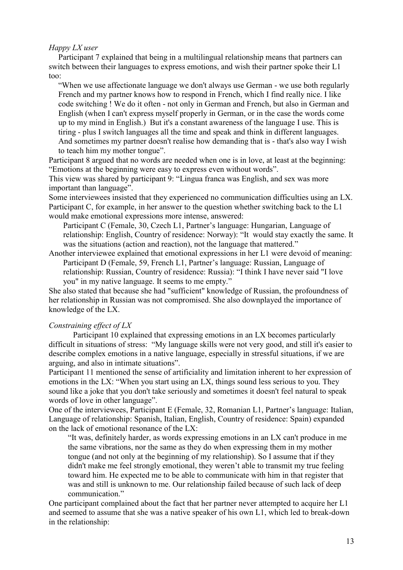## *Happy LX user*

Participant 7 explained that being in a multilingual relationship means that partners can switch between their languages to express emotions, and wish their partner spoke their L1 too:

"When we use affectionate language we don't always use German - we use both regularly French and my partner knows how to respond in French, which I find really nice. I like code switching ! We do it often - not only in German and French, but also in German and English (when I can't express myself properly in German, or in the case the words come up to my mind in English.) But it's a constant awareness of the language I use. This is tiring - plus I switch languages all the time and speak and think in different languages. And sometimes my partner doesn't realise how demanding that is - that's also way I wish to teach him my mother tongue".

Participant 8 argued that no words are needed when one is in love, at least at the beginning: "Emotions at the beginning were easy to express even without words".

This view was shared by participant 9: "Lingua franca was English, and sex was more important than language".

Some interviewees insisted that they experienced no communication difficulties using an LX. Participant C, for example, in her answer to the question whether switching back to the L1 would make emotional expressions more intense, answered:

Participant C (Female, 30, Czech L1, Partner's language: Hungarian, Language of relationship: English, Country of residence: Norway): "It would stay exactly the same. It was the situations (action and reaction), not the language that mattered."

Another interviewee explained that emotional expressions in her L1 were devoid of meaning: Participant D (Female, 59, French L1, Partner's language: Russian, Language of relationship: Russian, Country of residence: Russia): "I think I have never said "I love you" in my native language. It seems to me empty."

She also stated that because she had "sufficient" knowledge of Russian, the profoundness of her relationship in Russian was not compromised. She also downplayed the importance of knowledge of the LX.

## *Constraining effect of LX*

Participant 10 explained that expressing emotions in an LX becomes particularly difficult in situations of stress: "My language skills were not very good, and still it's easier to describe complex emotions in a native language, especially in stressful situations, if we are arguing, and also in intimate situations".

Participant 11 mentioned the sense of artificiality and limitation inherent to her expression of emotions in the LX: "When you start using an LX, things sound less serious to you. They sound like a joke that you don't take seriously and sometimes it doesn't feel natural to speak words of love in other language".

One of the interviewees, Participant E (Female, 32, Romanian L1, Partner's language: Italian, Language of relationship: Spanish, Italian, English, Country of residence: Spain) expanded on the lack of emotional resonance of the LX:

"It was, definitely harder, as words expressing emotions in an LX can't produce in me the same vibrations, nor the same as they do when expressing them in my mother tongue (and not only at the beginning of my relationship). So I assume that if they didn't make me feel strongly emotional, they weren't able to transmit my true feeling toward him. He expected me to be able to communicate with him in that register that was and still is unknown to me. Our relationship failed because of such lack of deep communication."

One participant complained about the fact that her partner never attempted to acquire her L1 and seemed to assume that she was a native speaker of his own L1, which led to break-down in the relationship: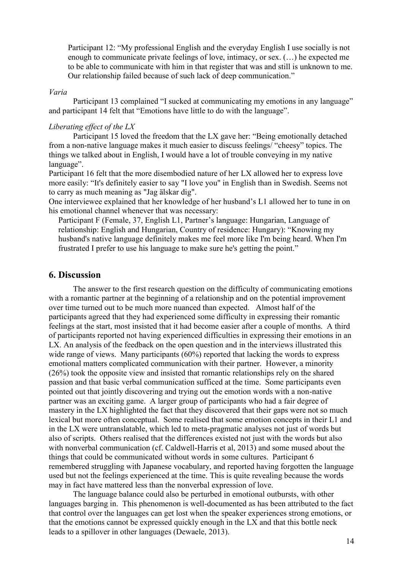Participant 12: "My professional English and the everyday English I use socially is not enough to communicate private feelings of love, intimacy, or sex. (…) he expected me to be able to communicate with him in that register that was and still is unknown to me. Our relationship failed because of such lack of deep communication."

#### *Varia*

Participant 13 complained "I sucked at communicating my emotions in any language" and participant 14 felt that "Emotions have little to do with the language".

#### *Liberating effect of the LX*

Participant 15 loved the freedom that the LX gave her: "Being emotionally detached from a non-native language makes it much easier to discuss feelings/ "cheesy" topics. The things we talked about in English, I would have a lot of trouble conveying in my native language".

Participant 16 felt that the more disembodied nature of her LX allowed her to express love more easily: "It's definitely easier to say "I love you" in English than in Swedish. Seems not to carry as much meaning as "Jag älskar dig".

One interviewee explained that her knowledge of her husband's L1 allowed her to tune in on his emotional channel whenever that was necessary:

Participant F (Female, 37, English L1, Partner's language: Hungarian, Language of relationship: English and Hungarian, Country of residence: Hungary): "Knowing my husband's native language definitely makes me feel more like I'm being heard. When I'm frustrated I prefer to use his language to make sure he's getting the point."

## **6. Discussion**

The answer to the first research question on the difficulty of communicating emotions with a romantic partner at the beginning of a relationship and on the potential improvement over time turned out to be much more nuanced than expected. Almost half of the participants agreed that they had experienced some difficulty in expressing their romantic feelings at the start, most insisted that it had become easier after a couple of months. A third of participants reported not having experienced difficulties in expressing their emotions in an LX. An analysis of the feedback on the open question and in the interviews illustrated this wide range of views. Many participants (60%) reported that lacking the words to express emotional matters complicated communication with their partner. However, a minority (26%) took the opposite view and insisted that romantic relationships rely on the shared passion and that basic verbal communication sufficed at the time. Some participants even pointed out that jointly discovering and trying out the emotion words with a non-native partner was an exciting game. A larger group of participants who had a fair degree of mastery in the LX highlighted the fact that they discovered that their gaps were not so much lexical but more often conceptual. Some realised that some emotion concepts in their L1 and in the LX were untranslatable, which led to meta-pragmatic analyses not just of words but also of scripts. Others realised that the differences existed not just with the words but also with nonverbal communication (cf. Caldwell-Harris et al, 2013) and some mused about the things that could be communicated without words in some cultures. Participant 6 remembered struggling with Japanese vocabulary, and reported having forgotten the language used but not the feelings experienced at the time. This is quite revealing because the words may in fact have mattered less than the nonverbal expression of love.

The language balance could also be perturbed in emotional outbursts, with other languages barging in. This phenomenon is well-documented as has been attributed to the fact that control over the languages can get lost when the speaker experiences strong emotions, or that the emotions cannot be expressed quickly enough in the LX and that this bottle neck leads to a spillover in other languages (Dewaele, 2013).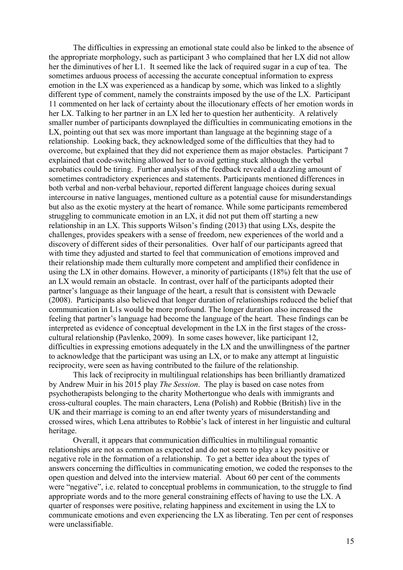The difficulties in expressing an emotional state could also be linked to the absence of the appropriate morphology, such as participant 3 who complained that her LX did not allow her the diminutives of her L1. It seemed like the lack of required sugar in a cup of tea. The sometimes arduous process of accessing the accurate conceptual information to express emotion in the LX was experienced as a handicap by some, which was linked to a slightly different type of comment, namely the constraints imposed by the use of the LX. Participant 11 commented on her lack of certainty about the illocutionary effects of her emotion words in her LX. Talking to her partner in an LX led her to question her authenticity. A relatively smaller number of participants downplayed the difficulties in communicating emotions in the LX, pointing out that sex was more important than language at the beginning stage of a relationship. Looking back, they acknowledged some of the difficulties that they had to overcome, but explained that they did not experience them as major obstacles. Participant 7 explained that code-switching allowed her to avoid getting stuck although the verbal acrobatics could be tiring. Further analysis of the feedback revealed a dazzling amount of sometimes contradictory experiences and statements. Participants mentioned differences in both verbal and non-verbal behaviour, reported different language choices during sexual intercourse in native languages, mentioned culture as a potential cause for misunderstandings but also as the exotic mystery at the heart of romance. While some participants remembered struggling to communicate emotion in an LX, it did not put them off starting a new relationship in an LX. This supports Wilson's finding (2013) that using LXs, despite the challenges, provides speakers with a sense of freedom, new experiences of the world and a discovery of different sides of their personalities. Over half of our participants agreed that with time they adjusted and started to feel that communication of emotions improved and their relationship made them culturally more competent and amplified their confidence in using the LX in other domains. However, a minority of participants (18%) felt that the use of an LX would remain an obstacle. In contrast, over half of the participants adopted their partner's language as their language of the heart, a result that is consistent with Dewaele (2008). Participants also believed that longer duration of relationships reduced the belief that communication in L1s would be more profound. The longer duration also increased the feeling that partner's language had become the language of the heart. These findings can be interpreted as evidence of conceptual development in the LX in the first stages of the crosscultural relationship (Pavlenko, 2009). In some cases however, like participant 12, difficulties in expressing emotions adequately in the LX and the unwillingness of the partner to acknowledge that the participant was using an LX, or to make any attempt at linguistic reciprocity, were seen as having contributed to the failure of the relationship.

This lack of reciprocity in multilingual relationships has been brilliantly dramatized by Andrew Muir in his 2015 play *The Session*. The play is based on case notes from psychotherapists belonging to the charity Mothertongue who deals with immigrants and cross-cultural couples. The main characters, Lena (Polish) and Robbie (British) live in the UK and their marriage is coming to an end after twenty years of misunderstanding and crossed wires, which Lena attributes to Robbie's lack of interest in her linguistic and cultural heritage.

Overall, it appears that communication difficulties in multilingual romantic relationships are not as common as expected and do not seem to play a key positive or negative role in the formation of a relationship. To get a better idea about the types of answers concerning the difficulties in communicating emotion, we coded the responses to the open question and delved into the interview material. About 60 per cent of the comments were "negative", i.e. related to conceptual problems in communication, to the struggle to find appropriate words and to the more general constraining effects of having to use the LX. A quarter of responses were positive, relating happiness and excitement in using the LX to communicate emotions and even experiencing the LX as liberating. Ten per cent of responses were unclassifiable.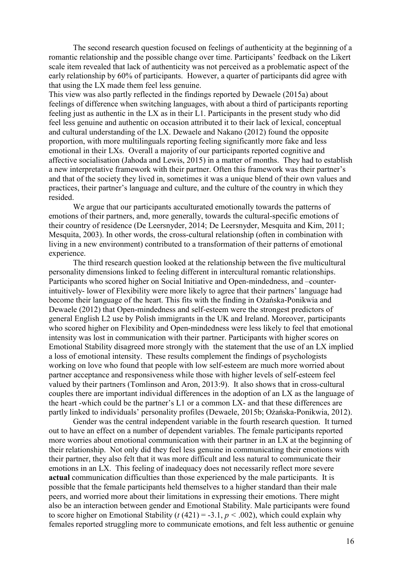The second research question focused on feelings of authenticity at the beginning of a romantic relationship and the possible change over time. Participants' feedback on the Likert scale item revealed that lack of authenticity was not perceived as a problematic aspect of the early relationship by 60% of participants. However, a quarter of participants did agree with that using the LX made them feel less genuine.

This view was also partly reflected in the findings reported by Dewaele (2015a) about feelings of difference when switching languages, with about a third of participants reporting feeling just as authentic in the LX as in their L1. Participants in the present study who did feel less genuine and authentic on occasion attributed it to their lack of lexical, conceptual and cultural understanding of the LX. Dewaele and Nakano (2012) found the opposite proportion, with more multilinguals reporting feeling significantly more fake and less emotional in their LXs. Overall a majority of our participants reported cognitive and affective socialisation (Jahoda and Lewis, 2015) in a matter of months. They had to establish a new interpretative framework with their partner. Often this framework was their partner's and that of the society they lived in, sometimes it was a unique blend of their own values and practices, their partner's language and culture, and the culture of the country in which they resided.

We argue that our participants acculturated emotionally towards the patterns of emotions of their partners, and, more generally, towards the cultural-specific emotions of their country of residence (De Leersnyder, 2014; De Leersnyder, Mesquita and Kim, 2011; Mesquita, 2003). In other words, the cross-cultural relationship (often in combination with living in a new environment) contributed to a transformation of their patterns of emotional experience.

The third research question looked at the relationship between the five multicultural personality dimensions linked to feeling different in intercultural romantic relationships. Participants who scored higher on Social Initiative and Open-mindedness, and –counterintuitively- lower of Flexibility were more likely to agree that their partners' language had become their language of the heart. This fits with the finding in Ożańska-Ponikwia and Dewaele (2012) that Open-mindedness and self-esteem were the strongest predictors of general English L2 use by Polish immigrants in the UK and Ireland. Moreover, participants who scored higher on Flexibility and Open-mindedness were less likely to feel that emotional intensity was lost in communication with their partner. Participants with higher scores on Emotional Stability disagreed more strongly with the statement that the use of an LX implied a loss of emotional intensity. These results complement the findings of psychologists working on love who found that people with low self-esteem are much more worried about partner acceptance and responsiveness while those with higher levels of self-esteem feel valued by their partners (Tomlinson and Aron, 2013:9). It also shows that in cross-cultural couples there are important individual differences in the adoption of an LX as the language of the heart -which could be the partner's L1 or a common LX- and that these differences are partly linked to individuals' personality profiles (Dewaele, 2015b; Ożańska-Ponikwia, 2012).

Gender was the central independent variable in the fourth research question. It turned out to have an effect on a number of dependent variables. The female participants reported more worries about emotional communication with their partner in an LX at the beginning of their relationship. Not only did they feel less genuine in communicating their emotions with their partner, they also felt that it was more difficult and less natural to communicate their emotions in an LX. This feeling of inadequacy does not necessarily reflect more severe **actual** communication difficulties than those experienced by the male participants. It is possible that the female participants held themselves to a higher standard than their male peers, and worried more about their limitations in expressing their emotions. There might also be an interaction between gender and Emotional Stability. Male participants were found to score higher on Emotional Stability ( $t(421) = -3.1$ ,  $p < .002$ ), which could explain why females reported struggling more to communicate emotions, and felt less authentic or genuine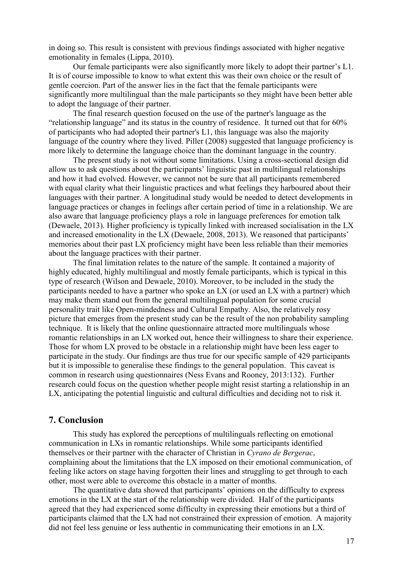in doing so. This result is consistent with previous findings associated with higher negative emotionality in females (Lippa, 2010).

Our female participants were also significantly more likely to adopt their partner's L1. It is of course impossible to know to what extent this was their own choice or the result of gentle coercion. Part of the answer lies in the fact that the female participants were significantly more multilingual than the male participants so they might have been better able to adopt the language of their partner.

The final research question focused on the use of the partner's language as the "relationship language" and its status in the country of residence. It turned out that for 60% of participants who had adopted their partner's L1, this language was also the majority language of the country where they lived. Piller (2008) suggested that language proficiency is more likely to determine the language choice than the dominant language in the country.

The present study is not without some limitations. Using a cross-sectional design did allow us to ask questions about the participants' linguistic past in multilingual relationships and how it had evolved. However, we cannot not be sure that all participants remembered with equal clarity what their linguistic practices and what feelings they harboured about their languages with their partner. A longitudinal study would be needed to detect developments in language practices or changes in feelings after certain period of time in a relationship. We are also aware that language proficiency plays a role in language preferences for emotion talk (Dewaele, 2013). Higher proficiency is typically linked with increased socialisation in the LX and increased emotionality in the LX (Dewaele, 2008, 2013). We reasoned that participants' memories about their past LX proficiency might have been less reliable than their memories about the language practices with their partner.

The final limitation relates to the nature of the sample. It contained a majority of highly educated, highly multilingual and mostly female participants, which is typical in this type of research (Wilson and Dewaele, 2010). Moreover, to be included in the study the participants needed to have a partner who spoke an LX (or used an LX with a partner) which may make them stand out from the general multilingual population for some crucial personality trait like Open-mindedness and Cultural Empathy. Also, the relatively rosy picture that emerges from the present study can be the result of the non probability sampling technique. It is likely that the online questionnaire attracted more multilinguals whose romantic relationships in an LX worked out, hence their willingness to share their experience. Those for whom LX proved to be obstacle in a relationship might have been less eager to participate in the study. Our findings are thus true for our specific sample of 429 participants but it is impossible to generalise these findings to the general population. This caveat is common in research using questionnaires (Ness Evans and Rooney, 2013:132). Further research could focus on the question whether people might resist starting a relationship in an LX, anticipating the potential linguistic and cultural difficulties and deciding not to risk it.

## **7. Conclusion**

This study has explored the perceptions of multilinguals reflecting on emotional communication in LXs in romantic relationships. While some participants identified themselves or their partner with the character of Christian in *Cyrano de Bergerac*, complaining about the limitations that the LX imposed on their emotional communication, of feeling like actors on stage having forgotten their lines and struggling to get through to each other, most were able to overcome this obstacle in a matter of months.

The quantitative data showed that participants' opinions on the difficulty to express emotions in the LX at the start of the relationship were divided. Half of the participants agreed that they had experienced some difficulty in expressing their emotions but a third of participants claimed that the LX had not constrained their expression of emotion. A majority did not feel less genuine or less authentic in communicating their emotions in an LX.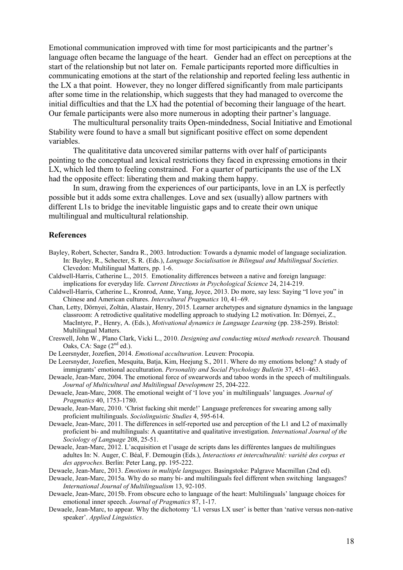Emotional communication improved with time for most participicants and the partner's language often became the language of the heart. Gender had an effect on perceptions at the start of the relationship but not later on. Female participants reported more difficulties in communicating emotions at the start of the relationship and reported feeling less authentic in the LX a that point. However, they no longer differed significantly from male participants after some time in the relationship, which suggests that they had managed to overcome the initial difficulties and that the LX had the potential of becoming their language of the heart. Our female participants were also more numerous in adopting their partner's language.

The multicultural personality traits Open-mindedness, Social Initiative and Emotional Stability were found to have a small but significant positive effect on some dependent variables.

The qualititative data uncovered similar patterns with over half of participants pointing to the conceptual and lexical restrictions they faced in expressing emotions in their LX, which led them to feeling constrained. For a quarter of participants the use of the LX had the opposite effect: liberating them and making them happy.

In sum, drawing from the experiences of our participants, love in an LX is perfectly possible but it adds some extra challenges. Love and sex (usually) allow partners with different L1s to bridge the inevitable linguistic gaps and to create their own unique multilingual and multicultural relationship.

#### **References**

- Bayley, Robert, Schecter, Sandra R., 2003. Introduction: Towards a dynamic model of language socialization. In: Bayley, R., Schecter, S. R. (Eds.), *Language Socialisation in Bilingual and Multilingual Societies.*  Clevedon: Multilingual Matters, pp. 1-6.
- Caldwell-Harris, Catherine L., 2015. Emotionality differences between a native and foreign language: implications for everyday life. *Current Directions in Psychological Science* 24, 214-219.
- Caldwell-Harris, Catherine L., Kronrod, Anne, Yang, Joyce, 2013. Do more, say less: Saying "I love you" in Chinese and American cultures. *Intercultural Pragmatics* 10, 41–69.
- Chan, Letty, Dörnyei, Zoltán, Alastair, Henry, 2015. Learner archetypes and signature dynamics in the language classroom: A retrodictive qualitative modelling approach to studying L2 motivation. In: Dörnyei, Z., MacIntyre, P., Henry, A. (Eds.), *Motivational dynamics in Language Learning* (pp. 238-259). Bristol: Multilingual Matters.
- Creswell, John W., Plano Clark, Vicki L., 2010. *Designing and conducting mixed methods research.* Thousand Oaks, CA: Sage  $(2<sup>nd</sup>$  ed.).
- De Leersnyder, Jozefien, 2014. *Emotional acculturation*. Leuven: Procopia.

De Leersnyder, Jozefien, Mesquita, Batja, Kim, Heejung S., 2011. Where do my emotions belong? A study of immigrants' emotional acculturation. *Personality and Social Psychology Bulletin* 37, 451–463.

- Dewaele, Jean-Marc, 2004. The emotional force of swearwords and taboo words in the speech of multilinguals. *Journal of Multicultural and Multilingual Development* 25, 204-222.
- Dewaele, Jean-Marc, 2008. The emotional weight of 'I love you' in multilinguals' languages. *Journal of Pragmatics* 40, 1753-1780.

Dewaele, Jean-Marc, 2010. 'Christ fucking shit merde!' Language preferences for swearing among sally proficient multilinguals. *Sociolinguistic Studies* 4, 595-614.

- Dewaele, Jean-Marc, 2011. The differences in self-reported use and perception of the L1 and L2 of maximally proficient bi- and multilinguals: A quantitative and qualitative investigation. *International Journal of the Sociology of Language* 208, 25-51.
- Dewaele, Jean-Marc, 2012. L'acquisition et l'usage de scripts dans les différentes langues de multilingues adultes In: N. Auger, C. Béal, F. Demougin (Eds.), *Interactions et interculturalité: variété des corpus et des approches*. Berlin: Peter Lang, pp. 195-222.

Dewaele, Jean-Marc, 2013. *Emotions in multiple languages*. Basingstoke: Palgrave Macmillan (2nd ed).

Dewaele, Jean-Marc, 2015a. Why do so many bi- and multilinguals feel different when switching languages? *International Journal of Multilingualism* 13, 92-105.

Dewaele, Jean-Marc, 2015b. From obscure echo to language of the heart: Multilinguals' language choices for emotional inner speech. *Journal of Pragmatics* 87, 1-17.

Dewaele, Jean-Marc, to appear. Why the dichotomy 'L1 versus LX user' is better than 'native versus non-native speaker'. *Applied Linguistics*.